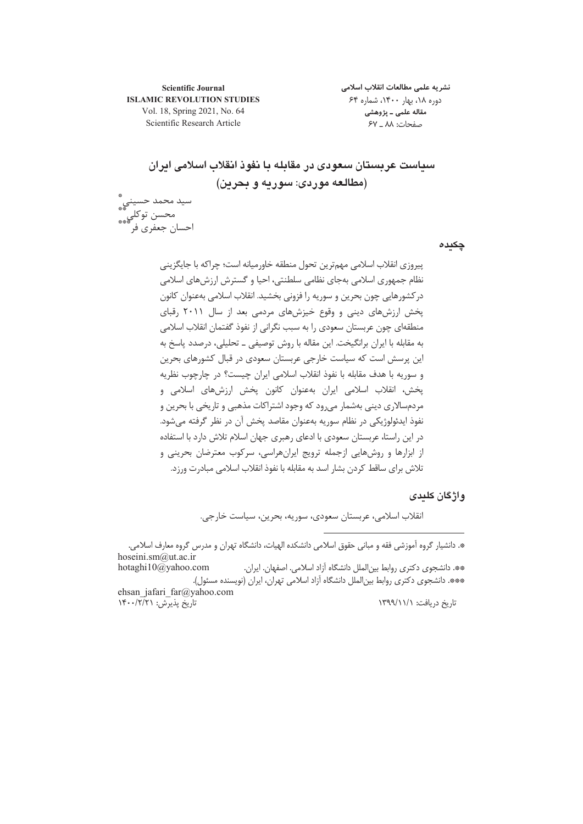**Scientific Journal ISLAMIC REVOLUTION STUDIES** Vol. 18, Spring 2021, No. 64 Scientific Research Article

نشريه علمى مطالعات انقلاب اسلامى دوره ۱۸، بهار ۱۴۰۰، شماره ۶۴ مقاله علمي ـ پژوهشي صفحات: ٨٨ \_ ۶٧

سیاست عربستان سعودی در مقابله با نفوذ انقلاب اسلامی ایران (مطالعه موردی: سوریه و بحرین)

سيد محمد حسيني ؓ<br>\*\*\* ۔<br>محسن توکلي ٌ ٌ احسان جعفري فر`

چکیدہ

پيروزي انقلاب اسلامي مهم ترين تحول منطقه خاورميانه است؛ چراكه با جايگزيني نظام جمهوري اسلامي بهجاي نظامي سلطنتي، احيا و گسترش ارزش هاي اسلامي در کشورهایی چون بحرین و سوریه را فزونی بخشید. انقلاب اسلامی بهعنوان کانون پخش ارزشهای دینی و وقوع خیزشهای مردمی بعد از سال ۲۰۱۱ رقبای منطقهای چون عربستان سعودی را به سبب نگرانی از نفوذ گفتمان انقلاب اسلامی به مقابله با ایران برانگیخت. این مقاله با روش توصیفی ــ تحلیلی، درصدد پاسخ به این پرسش است که سیاست خارجی عربستان سعودی در قبال کشورهای بحرین و سوريه با هدف مقابله با نفوذ انقلاب اسلامي ايران چيست؟ در چارچوب نظريه پخش، انقلاب اسلامی ایران بهعنوان کانون پخش ارزشهای اسلامی و مردمسالاری دینی بهشمار می٫ود که وجود اشتراکات مذهبی و تاریخی با بحرین و نفوذ ايدئولوژيكي در نظام سوريه بهعنوان مقاصد پخش آن در نظر گرفته مي شود. در این راستا، عربستان سعودی با ادعای رهبری جهان اسلام تلاش دارد با استفاده از ابزارها و روشهایی ازجمله ترویج ایرانهراسی، سرکوب معترضان بحرینی و تلاش برای ساقط کردن بشار اسد به مقابله با نفوذ انقلاب اسلامی مبادرت ورزد.

#### واژگان کلیدی

انقلاب اسلامي، عربستان سعودي، سوريه، بحرين، سياست خارجي.

\*. دانشیار گروه آموزشی فقه و مبانی حقوق اسلامی دانشکده الهیات، دانشگاه تهران و مدرس گروه معارف اسلامی. hoseini.sm@ut.ac.ir

\*\* دانشجوی دکتری روابط بین|لملل دانشگاه آزاد اسلامی. اصفهان. ایران. hotaghi $10\omega$ yahoo.com \*\*\*. دانشجوی دکتری روابط بینالملل دانشگاه آزاد اسلامی تهران، ایران (نویسنده مسئول). ehsan jafari far@yahoo.com

تاريخ پذيرش: ١٣٠٠/٢/٢١

تاریخ دریافت: ۱۳۹۹/۱۱/۱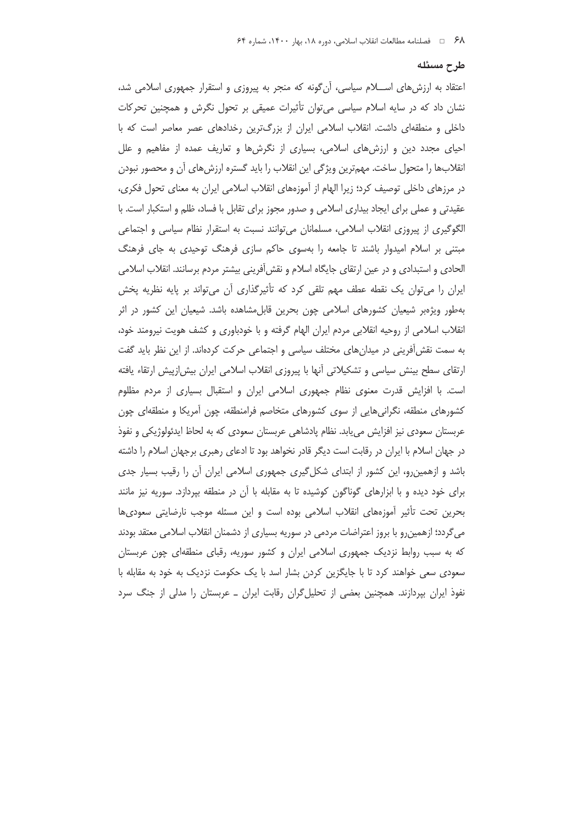#### طرح مسئله

اعتقاد به ارزشهای اســـلام سیاسی، آن گونه که منجر به پیروزی و استقرار جمهوری اسلامی شد، نشان داد که در سایه اسلام سیاسی می توان تأثیرات عمیقی بر تحول نگرش و همچنین تحرکات داخلی و منطقهای داشت. انقلاب اسلامی ایران از بزرگترین رخدادهای عصر معاصر است که با احیای مجدد دین و ارزش های اسلامی، بسیاری از نگرش ها و تعاریف عمده از مفاهیم و علل انقلابها را متحول ساخت. مهمترین ویژگی این انقلاب را باید گستره ارزش های آن و محصور نبودن در مرزهای داخلی توصیف کرد؛ زیرا الهام از آموزههای انقلاب اسلامی ایران به معنای تحول فکری، عقیدتی و عملی برای ایجاد بیداری اسلامی و صدور مجوز برای تقابل با فساد، ظلم و استکبار است. با الگوگیری از پیروزی انقلاب اسلامی، مسلمانان میتوانند نسبت به استقرار نظام سیاسی و اجتماعی مبتنی بر اسلام امیدوار باشند تا جامعه را بهسوی حاکم سازی فرهنگ توحیدی به جای فرهنگ الحادی و استبدادی و در عین ارتقای جایگاه اسلام و نقشآفرینی بیشتر مردم برسانند. انقلاب اسلامی ایران را میتوان یک نقطه عطف مهم تلقی کرد که تأثیرگذاری أن میتواند بر پایه نظریه پخش بهطور ویژهبر شیعیان کشورهای اسلامی چون بحرین قابل مشاهده باشد. شیعیان این کشور در اثر انقلاب اسلامی از روحیه انقلابی مردم ایران الهام گرفته و با خودباوری و کشف هویت نیرومند خود، به سمت نقشآفرینی در میدانهای مختلف سیاسی و اجتماعی حرکت کردهاند. از این نظر باید گفت ارتقای سطح بینش سیاسی و تشکیلاتی آنها با پیروزی انقلاب اسلامی ایران بیش[زپیش ارتقاء یافته است. با افزایش قدرت معنوی نظام جمهوری اسلامی ایران و استقبال بسیاری از مردم مظلوم کشورهای منطقه، نگرانیهایی از سوی کشورهای متخاصم فرامنطقه، چون آمریکا و منطقهای چون عربستان سعودی نیز افزایش می یابد. نظام پادشاهی عربستان سعودی که به لحاظ ایدئولوژیکی و نفوذ در جهان اسلام با ایران در رقابت است دیگر قادر نخواهد بود تا ادعای رهبری برجهان اسلام را داشته باشد و ازهمین رو، این کشور از ابتدای شکل گیری جمهوری اسلامی ایران آن را رقیب بسیار جدی برای خود دیده و با ابزارهای گوناگون کوشیده تا به مقابله با آن در منطقه بپردازد. سوریه نیز مانند بحرین تحت تأثیر آموزههای انقلاب اسلامی بوده است و این مسئله موجب نارضایتی سعودیها می گردد؛ ازهمین٫رو با بروز اعتراضات مردمی در سوریه بسیاری از دشمنان انقلاب اسلامی معتقد بودند که به سبب روابط نزدیک جمهوری اسلامی ایران و کشور سوریه، رقبای منطقهای چون عربستان سعودی سعی خواهند کرد تا با جایگزین کردن بشار اسد با یک حکومت نزدیک به خود به مقابله با نفوذ ایران بپردازند. همچنین بعضی از تحلیل گران رقابت ایران ــ عربستان را مدلی از جنگ سرد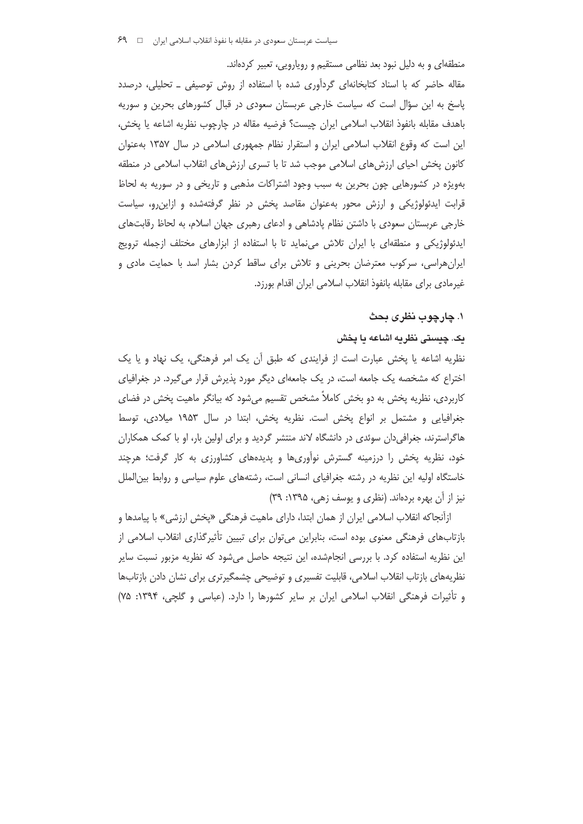منطقهای و به دلیل نبود بعد نظامی مستقیم و رویارویی، تعبیر کردهاند. مقاله حاضر که با اسناد کتابخانهای گردآوری شده با استفاده از روش توصیفی ـ تحلیلی، درصدد پاسخ به این سؤال است که سیاست خارجی عربستان سعودی در قبال کشورهای بحرین و سوریه باهدف مقابله بانفوذ انقلاب اسلامي ايران چيست؟ فرضيه مقاله در چارچوب نظريه اشاعه يا پخش، این است که وقوع انقلاب اسلامی ایران و استقرار نظام جمهوری اسلامی در سال ۱۳۵۷ بهعنوان کانون پخش احیای ارزشهای اسلامی موجب شد تا با تسری ارزشهای انقلاب اسلامی در منطقه بهویژه در کشورهایی چون بحرین به سبب وجود اشتراکات مذهبی و تاریخی و در سوریه به لحاظ قرابت ایدئولوژیکی و ارزش محور بهعنوان مقاصد پخش در نظر گرفتهشده و ازاین رو، سیاست خارجی عربستان سعودی با داشتن نظام پادشاهی و ادعای رهبری جهان اسلام، به لحاظ رقابتهای ایدئولوژیکی و منطقهای با ایران تلاش می نماید تا با استفاده از ابزارهای مختلف ازجمله ترویج ایران هراسی، سرکوب معترضان بحرینی و تلاش برای ساقط کردن بشار اسد با حمایت مادی و غیرمادی برای مقابله بانفوذ انقلاب اسلامی ایران اقدام بورزد.

#### ١. چارچوب نظري بحث

## یک چیستی نظریه اشاعه یا پخش

نظریه اشاعه یا پخش عبارت است از فرایندی که طبق اُن یک امر فرهنگی، یک نهاد و یا یک اختراع که مشخصه یک جامعه است، در یک جامعهای دیگر مورد پذیرش قرار میگیرد. در جغرافیای کاربردی، نظریه پخش به دو بخش کاملاً مشخص تقسیم میشود که بیانگر ماهیت پخش در فضای جغرافیایی و مشتمل بر انواع پخش است. نظریه پخش، ابتدا در سال ۱۹۵۳ میلادی، توسط هاگراسترند، جغرافی دان سوئدی در دانشگاه لاند منتشر گردید و برای اولین بار، او با کمک همکاران خود، نظریه یخش را درزمینه گسترش نوآوریها و پدیدههای کشاورزی به کار گرفت؛ هرچند خاستگاه اولیه این نظریه در رشته جغرافیای انسانی است، رشتههای علوم سیاسی و روابط بین|لملل نیز از آن بهره بردهاند. (نظری و یوسف زهی، ۱۳۹۵: ۳۹)

ازآنجاكه انقلاب اسلامي ايران از همان ابتدا، داراي ماهيت فرهنگي «پخش ارزشي» با پيامدها و بازتابهای فرهنگی معنوی بوده است، بنابراین میتوان برای تبیین تأثیرگذاری انقلاب اسلامی از این نظریه استفاده کرد. با بررسی انجامشده، این نتیجه حاصل می شود که نظریه مزبور نسبت سایر نظریههای بازتاب انقلاب اسلامی، قابلیت تفسیری و توضیحی چشمگیرتری برای نشان دادن بازتابها و تأثیرات فرهنگی انقلاب اسلامی ایران بر سایر کشورها را دارد. (عباسی و گلچی، ۱۳۹۴: ۷۵)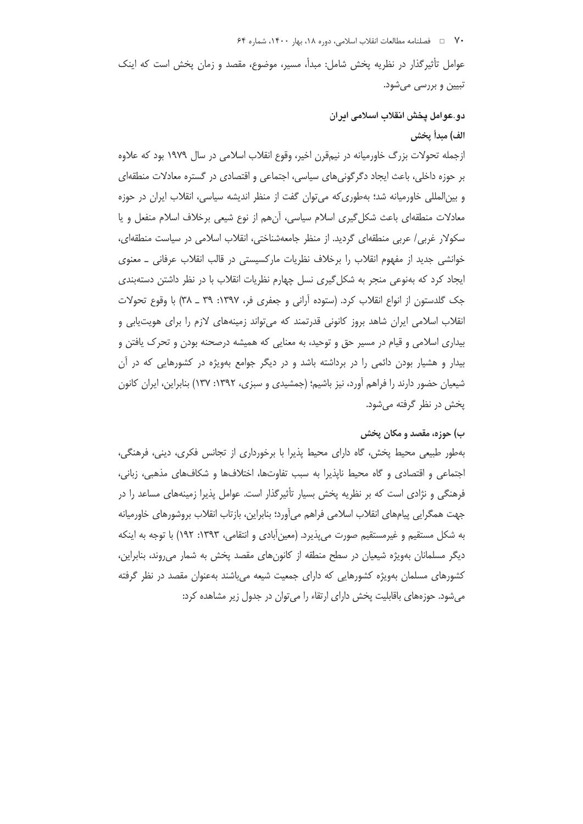· V فصلنامه مطالعات انقلاب اسلامي، دوره ١٨، بهار ١۴٠٠، شماره ۶۴

عوامل تأثیر گذار در نظریه پخش شامل: مبدأ، مسیر، موضوع، مقصد و زمان پخش است که اینک تبیین و بررسی میشود.

# دو.عوامل يخش انقلاب اسلامي ايران

## الف) مبدأ يخش

ازجمله تحولات بزرگ خاورمیانه در نیمقرن اخیر، وقوع انقلاب اسلامی در سال ۱۹۷۹ بود که علاوه بر حوزه داخلی، باعث ایجاد دگر گونی های سیاسی، اجتماعی و اقتصادی در گستره معادلات منطقهای و بینالمللی خاورمیانه شد؛ بهطوری که می توان گفت از منظر اندیشه سیاسی، انقلاب ایران در حوزه معادلات منطقهای باعث شکل گیری اسلام سیاسی، أنهم از نوع شیعی برخلاف اسلام منفعل و یا سکولار غربی/ عربی منطقهای گردید. از منظر جامعهشناختی، انقلاب اسلامی در سیاست منطقهای، خوانشی جدید از مفهوم انقلاب را برخلاف نظریات مارکسیستی در قالب انقلاب عرفانی ـ معنوی ایجاد کرد که بهنوعی منجر به شکل گیری نسل چهارم نظریات انقلاب با در نظر داشتن دستهبندی جک گلدستون از انواع انقلاب کرد. (ستوده آرانی و جعفری فر، ۱۳۹۷: ۳۹ ـ ۳۸) با وقوع تحولات انقلاب اسلامی ایران شاهد بروز کانونی قدرتمند که می تواند زمینههای لازم را برای هویتLیابی و بیداری اسلامی و قیام در مسیر حق و توحید، به معنایی که همیشه درصحنه بودن و تحرک یافتن و بیدار و هشیار بودن دائمی را در برداشته باشد و در دیگر جوامع بهویژه در کشورهایی که در آن شیعیان حضور دارند را فراهم آورد، نیز باشیم؛ (جمشیدی و سبزی، ۱۳۹۲: ۱۳۷) بنابراین، ایران کانون يخش در نظر گرفته مي شود.

#### ب) حوزه، مقصد و مکان یخش

بهطور طبیعی محیط پخش، گاه دارای محیط پذیرا با برخورداری از تجانس فکری، دینی، فرهنگی، اجتماعی و اقتصادی و گاه محیط ناپذیرا به سبب تفاوتها، اختلافها و شکافهای مذهبی، زبانی، فرهنگی و نژادی است که بر نظریه پخش بسیار تأثیرگذار است. عوامل پذیرا زمینههای مساعد را در جهت همگرايي پيامهاي انقلاب اسلامي فراهم ميآورد؛ بنابراين، بازتاب انقلاب بروشورهاي خاورميانه به شکل مستقیم و غیرمستقیم صورت می پذیرد. (معین|آبادی و انتقامی، ۱۳۹۳: ۱۹۲) با توجه به اینکه دیگر مسلمانان بهویژه شیعیان در سطح منطقه از کانونهای مقصد پخش به شمار می روند، بنابراین، کشورهای مسلمان بهویژه کشورهایی که دارای جمعیت شیعه میباشند بهعنوان مقصد در نظر گرفته میشود. حوزههای باقابلیت پخش دارای ارتقاء را می توان در جدول زیر مشاهده کرد: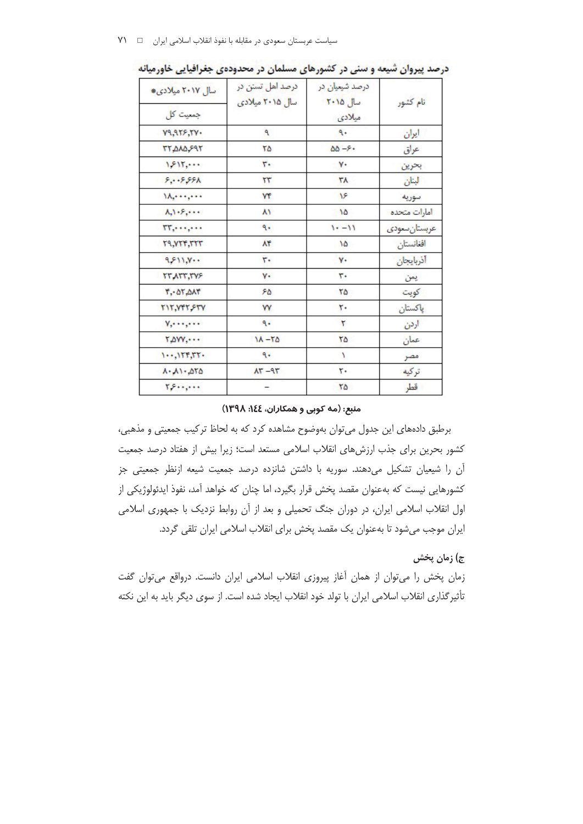| سال ۲۰۱۷ میلادی<br>جمعیت کل                  | درصد اهل تسنن در<br>سال ۲۰۱۵ میلادی | درصد شیعیان در<br>سال ۲۰۱۵<br>میلادی | نام كشور      |
|----------------------------------------------|-------------------------------------|--------------------------------------|---------------|
| <b>V9,955,5V.</b>                            | ٩                                   | ٩.                                   | ايران         |
| <b>TT.AAA.P9T</b>                            | ٢۵.                                 | $\Delta \Delta - 5.$                 | عراق          |
| 1211                                         | ٣.                                  | $\mathbf{v}$                         | بحرين         |
| 5.0555A                                      | $\tau\tau$                          | ۳۸                                   | البنان        |
| $\Lambda, \ldots, \ldots$                    | ٧۴                                  | ۱۶                                   | سوريه         |
| $\Lambda$ , $\cdot$ $\cdot$ $\cdot$ $\cdot$  | ۸۱                                  | ۱۵                                   | امارات متحده  |
| $TT, \cdots, \cdots$                         | ٩.                                  | $1 - -11$                            | عربستان سعودى |
| <b>T9, YTF, TTT</b>                          | $\lambda$ ۴                         | ۱۵                                   | افغانستان     |
| ۰۰۱۱٫۷۰۰                                     | ٣.                                  | ٧٠                                   | أذربايجان     |
| TT ATT, TVF                                  | ٧٠                                  | ٣.                                   | يمن           |
| $T - \Delta T \Delta \Lambda T$              | ۶۵                                  | ٢۵                                   | كويت          |
| TIT, YFT, FTY                                | <b>W</b>                            | ٢٠                                   | پاکستان       |
| $Y, \dots, \dots$                            | ٩.                                  | ٢                                    | اردن          |
| $T_{\phi}$ over $\cdots$                     | $11 - 50$                           | ٢۵                                   | عمان          |
| $1.4$ , $155.55$ .                           | ٩.                                  | ١                                    | مصر           |
| $\lambda$ . $\lambda$ 1 . $\Delta\tau\Delta$ | $AT - 9T$                           | ٢٠                                   | تركيه         |
| $Y, Y, \ldots, Y$                            |                                     | ٢۵                                   | قطر           |

درصد پیروان شیعه و سنی در کشورهای مسلمان در محدودهی جغرافیایی خاورمیانه

#### منبع: (مه کوبی و همکاران، ١٤٤: ١٣٩٨)

برطبق دادههای این جدول می توان بهوضوح مشاهده کرد که به لحاظ ترکیب جمعیتی و مذهبی، کشور بحرین برای جذب ارزشهای انقلاب اسلامی مستعد است؛ زیرا بیش از هفتاد درصد جمعیت آن را شیعیان تشکیل میدهند. سوریه با داشتن شانزده درصد جمعیت شیعه ازنظر جمعیتی جز کشورهایی نیست که بهعنوان مقصد پخش قرار بگیرد، اما چنان که خواهد آمد، نفوذ ایدئولوژیکی از اول انقلاب اسلامی ایران، در دوران جنگ تحمیلی و بعد از آن روابط نزدیک با جمهوری اسلامی ایران موجب میشود تا بهعنوان یک مقصد پخش برای انقلاب اسلامی ایران تلقی گردد.

## ج) زمان پخش

زمان پخش را میتوان از همان آغاز پیروزی انقلاب اسلامی ایران دانست. درواقع میتوان گفت تأثیر گذاری انقلاب اسلامی ایران با تولد خود انقلاب ایجاد شده است. از سوی دیگر باید به این نکته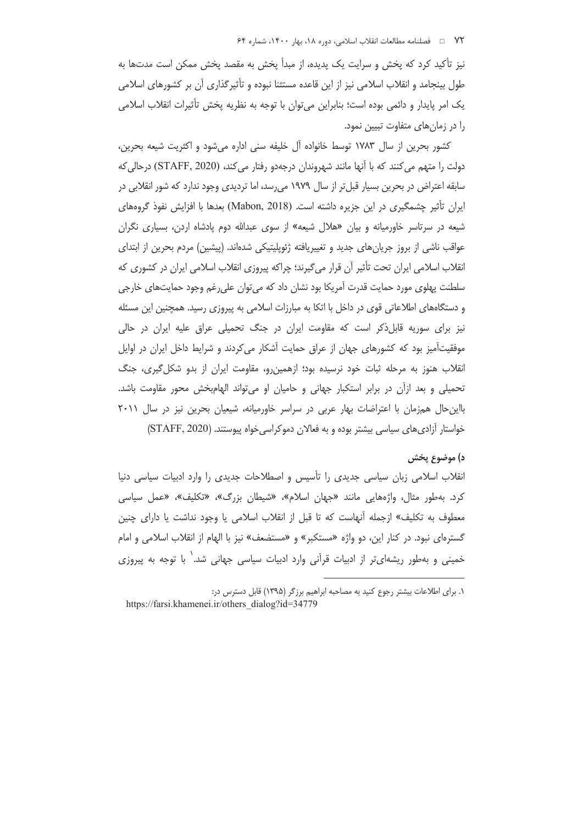نیز تأکید کرد که یخش و سرایت یک پدیده، از مبدأ یخش به مقصد یخش ممکن است مدتها به طول بینجامد و انقلاب اسلامی نیز از این قاعده مستثنا نبوده و تأثیر گذاری آن بر کشورهای اسلامی يک امر پايدار و دائمي بوده است؛ بنابراين مي توان با توجه به نظريه پخش تأثيرات انقلاب اسلامي را در زمان های متفاوت تبیین نمود.

كشور بحرين از سال ١٧٨٣ توسط خانواده آل خليفه سنى اداره مى شود و اكثريت شيعه بحرين، دولت را متهم می کنند که با آنها مانند شهروندان درجهدو رفتار می کند، (STAFF, 2020) درحالی که سابقه اعتراض در بحرین بسیار قبل تر از سال ۱۹۷۹ می رسد، اما تردیدی وجود ندارد که شور انقلابی در ایران تأثیر چشمگیری در این جزیره داشته است. (Mabon, 2018) بعدها با افزایش نفوذ گروههای شیعه در سرتاسر خاورمیانه و بیان «هلال شیعه» از سوی عبدالله دوم پادشاه اردن، بسیاری نگران عواقب ناشی از بروز جریان های جدید و تغییریافته ژئوپلیتیکی شدهاند. (پیشین) مردم بحرین از ابتدای انقلاب اسلامی ایران تحت تأثیر آن قرار میگیرند؛ چراکه پیروزی انقلاب اسلامی ایران در کشوری که سلطنت پهلوی مورد حمایت قدرت آمریکا بود نشان داد که می توان علی رغم وجود حمایتهای خارجی و دستگاههای اطلاعاتی قوی در داخل با اتکا به مبارزات اسلامی به پیروزی رسید. همچنین این مسئله نیز برای سوریه قابلذکر است که مقاومت ایران در جنگ تحمیلی عراق علیه ایران در حالی موفقیتآمیز بود که کشورهای جهان از عراق حمایت آشکار می کردند و شرایط داخل ایران در اوایل انقلاب هنوز به مرحله ثبات خود نرسیده بود؛ ازهمین رو، مقاومت ایران از بدو شکل گیری، جنگ تحمیلی و بعد ازأن در برابر استکبار جهانی و حامیان او میتواند الهامبخش محور مقاومت باشد. بااین حال همزمان با اعتراضات بهار عربی در سراسر خاورمیانه، شیعیان بحرین نیز در سال ۲۰۱۱ خواستار آزادی های سیاسی بیشتر بوده و به فعالان دموکراسی خواه پیوستند. (STAFF, 2020)

#### د) موضوع پخش

انقلاب اسلامی زبان سیاسی جدیدی را تأسیس و اصطلاحات جدیدی را وارد ادبیات سیاسی دنیا کرد. بهطور مثال، واژههایی مانند «جهان اسلام»، «شیطان بزرگ»، «تکلیف»، «عمل سیاسی معطوف به تكليف» ازجمله أنهاست كه تا قبل از انقلاب اسلامي يا وجود نداشت يا داراي چنين گسترهای نبود. در کنار این، دو واژه «مستکبر» و «مستضعف» نیز با الهام از انقلاب اسلامی و امام خمینی و بهطور ریشهای تر از ادبیات قرآنی وارد ادبیات سیاسی جهانی شد.<sup>\</sup> با توجه به پیروزی

١. برای اطلاعات بیشتر رجوع کنید به مصاحبه ابراهیم برزگر (١٣٩۵) قابل دسترس در:

https://farsi.khamenei.ir/others dialog?id=34779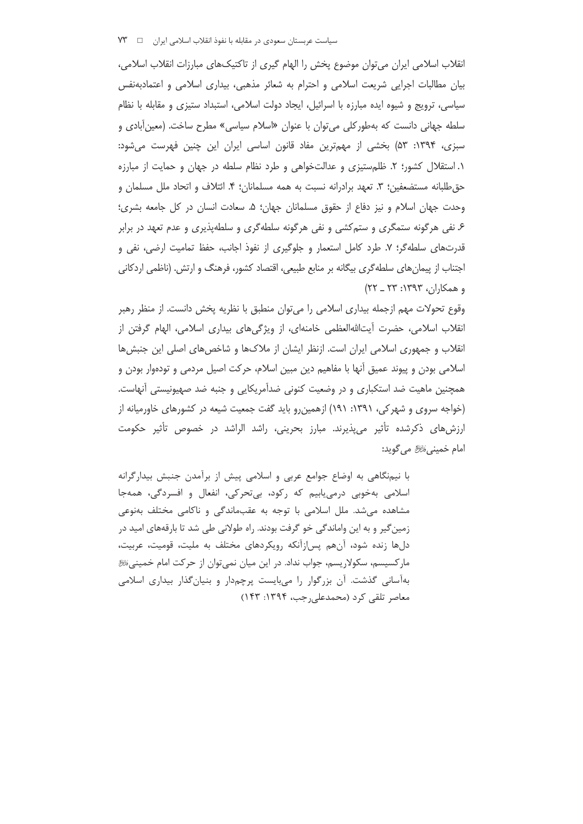انقلاب اسلامی ایران میتوان موضوع پخش را الهام گیری از تاکتیکهای مبارزات انقلاب اسلامی، بیان مطالبات اجرایی شریعت اسلامی و احترام به شعائر مذهبی، بیداری اسلامی و اعتمادبهنفس سیاسی، ترویج و شیوه ایده مبارزه با اسرائیل، ایجاد دولت اسلامی، استبداد ستیزی و مقابله با نظام سلطه جهانی دانست که بهطورکلی میتوان با عنوان «اسلام سیاسی» مطرح ساخت. (معین آبادی و سبزی، ۱۳۹۴: ۵۳) بخشی از مهمترین مفاد قانون اساسی ایران این چنین فهرست میشود: ۱. استقلال کشور؛ ۲. ظلم ستیزی و عدالتخواهی و طرد نظام سلطه در جهان و حمایت از مبارزه حق طلبانه مستضعفین؛ ٣. تعهد برادرانه نسبت به همه مسلمانان؛ ۴. ائتلاف و اتحاد ملل مسلمان و وحدت جهان اسلام و نيز دفاع از حقوق مسلمانان جهان؛ ۵. سعادت انسان در كل جامعه بشرى؛ ۶. نفی هرگونه ستمگری و ستمکشی و نفی هرگونه سلطهگری و سلطهپذیری و عدم تعهد در برابر قدرتهای سلطه گر؛ ۷. طرد کامل استعمار و جلوگیری از نفوذ اجانب، حفظ تمامیت ارضی، نفی و اجتناب از پیمان های سلطه گری بیگانه بر منابع طبیعی، اقتصاد کشور، فرهنگ و ارتش. (ناظمی اردکانی و همکاران، ۱۳۹۳: ۲۳ ـ ۲۲)

وقوع تحولات مهم ازجمله بیداری اسلامی را می توان منطبق با نظریه پخش دانست. از منظر رهبر انقلاب اسلامی، حضرت آیتاللهالعظمی خامنهای، از ویژگیهای بیداری اسلامی، الهام گرفتن از انقلاب و جمهوری اسلامی ایران است. ازنظر ایشان از ملاکها و شاخصهای اصلی این جنبشها اسلامی بودن و پیوند عمیق آنها با مفاهیم دین مبین اسلام، حرکت اصیل مردمی و تودهوار بودن و همچنین ماهیت ضد استکباری و در وضعیت کنونی ضدآمریکایی و جنبه ضد صهیونیستی آنهاست. (خواجه سروی و شهر کی، ۱۳۹۱: ۱۹۱) ازهمین رو باید گفت جمعیت شیعه در کشورهای خاورمیانه از ارزش های ذکرشده تأثیر می پذیرند. مبارز بحرینی، راشد الراشد در خصوص تأثیر حکومت امام خميني َاللَّهِ مي گويد:

با نیمنگاهی به اوضاع جوامع عربی و اسلامی پیش از برآمدن جنبش بیدارگرانه اسلامي بەخوبى درمى يابيم كە ركود، بى تحركى، انفعال و افسردگى، ھمەجا مشاهده میشد. ملل اسلامی با توجه به عقبماندگی و ناکامی مختلف بهنوعی زمین گیر و به این واماندگی خو گرفت بودند. راه طولانی طی شد تا بارقههای امید در دلها زنده شود، آنهم پس|زآنکه رویکردهای مختلف به ملیت، قومیت، عربیت، مار کسیسم، سکولار پسم، جواب نداد. در این میان نمی توان از حرکت امام خمینی ﷺ به آسانی گذشت. آن بزرگوار را میبایست پرچمدار و بنیانگذار بیداری اسلامی معاصر تلقی کرد (محمدعلی جب، ۱۳۹۴: ۱۴۳)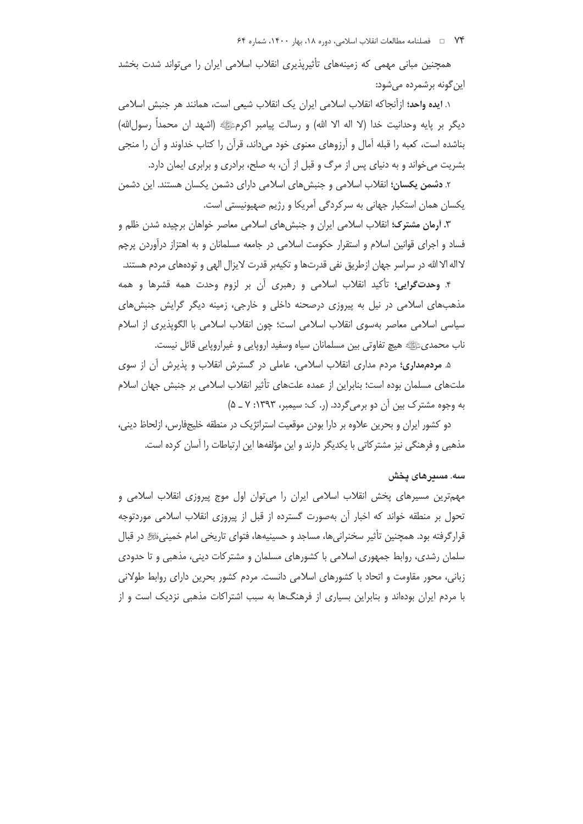همچنین مبانی مهمی که زمینههای تأثیریذیری انقلاب اسلامی ایران را می تواند شدت بخشد این گونه برشمرده می شود:

١. ايده واحد؛ ازآنجاكه انقلاب اسلامي ايران يک انقلاب شيعي است، همانند هر جنبش اسلامي ديگر بر پايه وحدانيت خدا (لا اله الا الله) و رسالت پيامبر اكرمﷺ (اشهد ان محمداً رسولالله) بناشده است، کعبه را قبله آمال و آرزوهای معنوی خود می داند، قرآن را کتاب خداوند و آن را منجی بشریت میخواند و به دنیای پس از مرگ و قبل از آن، به صلح، برادری و برابری ایمان دارد.

۲. **دشمن یکسان؛** انقلاب اسلامی و جنبشهای اسلامی دارای دشمن یکسان هستند. این دشمن یکسان همان استکبار جهانی به سرکردگی آمریکا و رژیم صهیونیستی است.

۳. آرمان مشترک؛ انقلاب اسلامی ایران و جنبشهای اسلامی معاصر خواهان برچیده شدن ظلم و فساد و اجرای قوانین اسلام و استقرار حکومت اسلامی در جامعه مسلمانان و به اهتزاز درآوردن پرچم لااله الا الله در سراسر جهان ازطريق نفي قدرتها و تكيهبر قدرت لايزال الهي و تودههاي مردم هستند.

۴. و**حدت** *گ***رایی؛** تأکید انقلاب اسلامی و رهبری آن بر لزوم وحدت همه قشرها و همه مذهبهای اسلامی در نیل به پیروزی درصحنه داخلی و خارجی، زمینه دیگر گرایش جنبش های سیاسی اسلامی معاصر بەسوی انقلاب اسلامی است؛ چون انقلاب اسلامی با الگوپذیری از اسلام ناب محمديﷺ هيچ تفاوتي بين مسلمانان سياه وسفيد اروپايي و غيراروپايي قائل نيست.

۵. مردم مداری؛ مردم مداری انقلاب اسلامی، عاملی در گسترش انقلاب و پذیرش آن از سوی ملتهای مسلمان بوده است؛ بنابراین از عمده علتهای تأثیر انقلاب اسلامی بر جنبش جهان اسلام به وجوه مشترک بین آن دو برمی گردد. (ر. ک: سیمبر، ۱۳۹۳: ۷ ـ ۵)

دو کشور ایران و بحرین علاوه بر دارا بودن موقعیت استراتژیک در منطقه خلیجفارس، ازلحاظ دینی، مذهبی و فرهنگی نیز مشترکاتی با یکدیگر دارند و این مؤلفهها این ارتباطات را آسان کرده است.

#### سه. مسدرهای یخش

مهمترین مسیرهای پخش انقلاب اسلامی ایران را میتوان اول موج پیروزی انقلاب اسلامی و تحول بر منطقه خواند که اخبار أن بهصورت گسترده از قبل از پیروزی انقلاب اسلامی موردتوجه قرارگرفته بود. همچنین تأثیر سخنرانیها، مساجد و حسینیهها، فتوای تاریخی امام خمینیﷺ در قبال سلمان رشدی، روابط جمهوری اسلامی با کشورهای مسلمان و مشترکات دینی، مذهبی و تا حدودی زبانی، محور مقاومت و اتحاد با کشورهای اسلامی دانست. مردم کشور بحرین دارای روابط طولانی با مردم ایران بودهاند و بنابراین بسیاری از فرهنگها به سبب اشتراکات مذهبی نزدیک است و از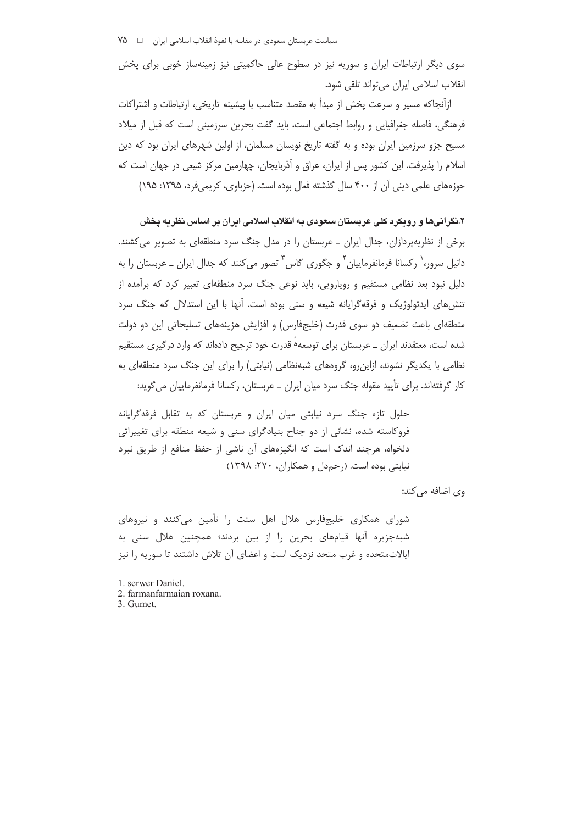سوی دیگر ارتباطات ایران و سوریه نیز در سطوح عالی حاکمیتی نیز زمینهساز خوبی برای پخش انقلاب اسلامي ايران مي تواند تلقى شود.

ازآنجاکه مسیر و سرعت یخش از مبدأ به مقصد متناسب با پیشینه تاریخی، ارتباطات و اشتراکات فرهنگی، فاصله جغرافیایی و روابط اجتماعی است، باید گفت بحرین سرزمینی است که قبل از میلاد مسیح جزو سرزمین ایران بوده و به گفته تاریخ نویسان مسلمان، از اولین شهرهای ایران بود که دین اسلام را پذیرفت. این کشور پس از ایران، عراق و آذربایجان، چهارمین مرکز شیعی در جهان است که حوزههای علمی دینی آن از ۴۰۰ سال گذشته فعال بوده است. (حزباوی، کریمی فرد، ۱۳۹۵: ۱۹۵)

۲.نگرانی ها و رویکرد کلی عربستان سعودی به انقلاب اسلامی ایران بر اساس نظریه پخش برخی از نظریهپردازان، جدال ایران ـ عربستان را در مدل جنگ سرد منطقهای به تصویر می کشند. دانیل سرور، ` رکسانا فرمانفرماییان ` و جگوری گاس ` تصور می کنند که جدال ایران ــ عربستان را به دلیل نبود بعد نظامی مستقیم و رویارویی، باید نوعی جنگ سرد منطقهای تعبیر کرد که برآمده از تنش های ایدئولوژیک و فرقه گرایانه شیعه و سنی بوده است. آنها با این استدلال که جنگ سرد منطقهای باعث تضعیف دو سوی قدرت (خلیجفارس) و افزایش هزینههای تسلیحاتی این دو دولت شده است، معتقدند ایران \_ عربستان برای توسعه۱ قدرت خود ترجیح دادهاند که وارد درگیری مستقیم نظامی با یکدیگر نشوند، ازاین رو، گروههای شبهنظامی (نیابتی) را برای این جنگ سرد منطقهای به کار گرفتهاند. برای تأیید مقوله جنگ سرد میان ایران ــ عربستان، رکسانا فرمانفرماییان می گوید:

حلول تازه جنگ سرد نیابتی میان ایران و عربستان که به تقابل فرقهگرایانه فروکاسته شده، نشانی از دو جناح بنیادگرای سنی و شیعه منطقه برای تغییراتی دلخواه، هرچند اندک است که انگیزههای آن ناشی از حفظ منافع از طریق نبرد نیابتی بوده است. (رحمدل و همکاران، ۲۷۰: ۱۳۹۸)

وی اضافه می کند:

شورای همکاری خلیجفارس هلال اهل سنت را تأمین می کنند و نیروهای شبهجزیره آنها قیامهای بحرین را از بین بردند؛ همچنین هلال سنی به ایالاتمتحده و غرب متحد نزدیک است و اعضای آن تلاش داشتند تا سوریه را نیز

1. serwer Daniel. 2. farmanfarmaian roxana. 3. Gumet.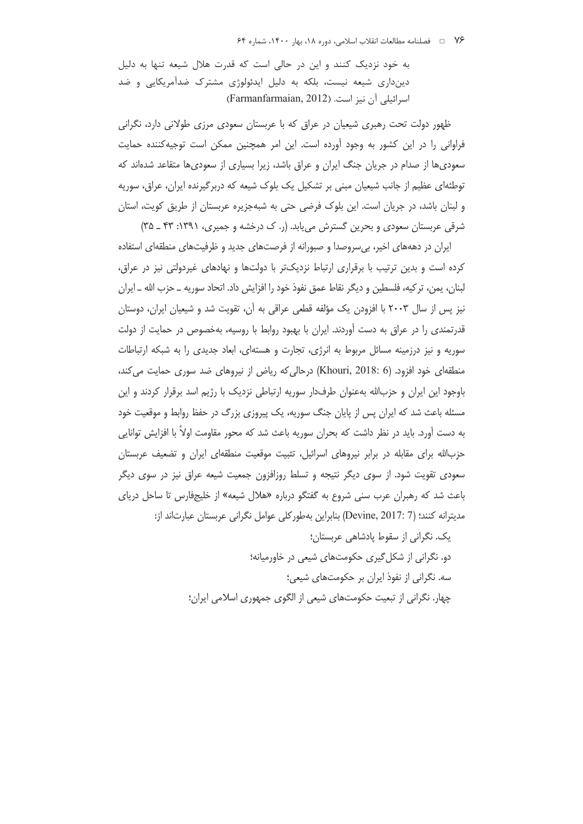به خود نزدیک کنند و این در حالی است که قدرت هلال شیعه تنها به دلیل دینداری شیعه نیست، بلکه به دلیل ایدئولوژی مشترک ضدآمریکایی و ضد اسرائیلی آن نیز است. (Farmanfarmaian, 2012)

ظهور دولت تحت رهبری شیعیان در عراق که با عربستان سعودی مرزی طولانی دارد، نگرانی فراوانی را در این کشور به وجود آورده است. این امر همچنین ممکن است توجیهکننده حمایت سعودی ها از صدام در جریان جنگ ایران و عراق باشد، زیرا بسیاری از سعودی ها متقاعد شدهاند که توطئهای عظیم از جانب شیعیان مبنی بر تشکیل یک بلوک شیعه که دربرگیرنده ایران، عراق، سوریه و لبنان باشد، در جریان است. این بلوک فرضی حتی به شبهجزیره عربستان از طریق کویت، استان شرقی عربستان سعودی و بحرین گسترش می یابد. (ر. ک درخشه و جمیری، ۱۳۹۱: ۳۳ ـ ۳۵)

ایران در دهههای اخیر، بیسروصدا و صبورانه از فرصتهای جدید و ظرفیتهای منطقهای استفاده کرده است و بدین ترتیب با برقراری ارتباط نزدیکتر با دولتها و نهادهای غیردولتی نیز در عراق، لبنان، يمن، تركيه، فلسطين و ديگر نقاط عمق نفوذ خود را افزايش داد. اتحاد سوريه ــ حزب الله ــ ايران نیز پس از سال ۲۰۰۳ با افزودن یک مؤلفه قطعی عراقی به آن، تقویت شد و شیعیان ایران، دوستان قدرتمندی را در عراق به دست آوردند. ایران با بهبود روابط با روسیه، بهخصوص در حمایت از دولت سوریه و نیز درزمینه مسائل مربوط به انرژی، تجارت و هستهای، ابعاد جدیدی را به شبکه ارتباطات منطقهای خود افزود. (Khouri, 2018: 6) درحالی که ریاض از نیروهای ضد سوری حمایت می کند، باوجود این ایران و حزبالله بهعنوان طرفدار سوریه ارتباطی نزدیک با رژیم اسد برقرار کردند و این مسئله باعث شد که ایران پس از پایان جنگ سوریه، یک پیروزی بزرگ در حفظ روابط و موقعیت خود به دست آورد. باید در نظر داشت که بحران سوریه باعث شد که محور مقاومت اولاً با افزایش توانایی حزبالله برای مقابله در برابر نیروهای اسرائیل، تثبیت موقعیت منطقهای ایران و تضعیف عربستان سعودی تقویت شود. از سوی دیگر نتیجه و تسلط روزافزون جمعیت شیعه عراق نیز در سوی دیگر باعث شد که رهبران عرب سنی شروع به گفتگو درباره «هلال شیعه» از خلیجفارس تا ساحل دریای مديترانه كنند؛ (Devine, 2017: 7) بنابراين بهطوركلي عوامل نگراني عربستان عبارتاند از:

> یک. نگرانی از سقوط پادشاهی عربستان؛ دو. نگرانی از شکل گیری حکومتهای شیعی در خاورمیانه؛ سه. نگرانی از نفوذ ایران بر حکومتهای شیعی؛ چهار. نگرانی از تبعیت حکومتهای شیعی از الگوی جمهوری اسلامی ایران؛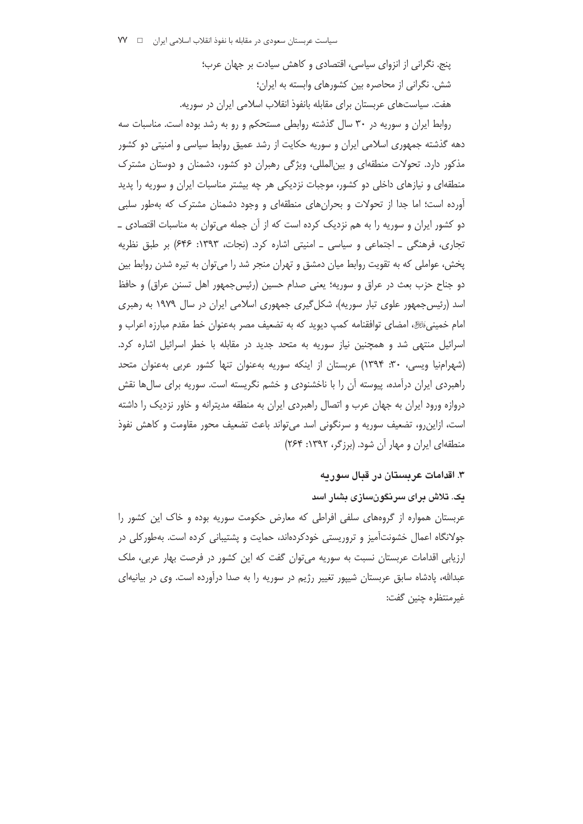ینج. نگرانی از انزوای سیاسی، اقتصادی و کاهش سیادت بر جهان عرب؛ شش. نگرانی از محاصره بین کشورهای وابسته به ایران؛ هفت. سیاستهای عربستان برای مقابله بانفوذ انقلاب اسلامی ایران در سوریه.

روابط ایران و سوریه در ۳۰ سال گذشته روابطی مستحکم و رو به رشد بوده است. مناسبات سه دهه گذشته جمهوری اسلامی ایران و سوریه حکایت از رشد عمیق روابط سیاسی و امنیتی دو کشور مذکور دارد. تحولات منطقهای و بین المللی، ویژگی رهبران دو کشور، دشمنان و دوستان مشترک منطقهای و نیازهای داخلی دو کشور، موجبات نزدیکی هر چه بیشتر مناسبات ایران و سوریه را پدید آورده است؛ اما جدا از تحولات و بحرانِهای منطقهای و وجود دشمنان مشترک که بهطور سلبی دو کشور ایران و سوریه را به هم نزدیک کرده است که از آن جمله میتوان به مناسبات اقتصادی \_ تجاری، فرهنگی ـ اجتماعی و سیاسی ـ امنیتی اشاره کرد. (نجات، ۱۳۹۳: ۶۴۶) بر طبق نظریه پخش، عواملی که به تقویت روابط میان دمشق و تهران منجر شد را می توان به تیره شدن روابط بین دو جناح حزب بعث در عراق و سوریه؛ یعنی صدام حسین (رئیس جمهور اهل تسنن عراق) و حافظ اسد (رئیس جمهور علوی تبار سوریه)، شکل گیری جمهوری اسلامی ایران در سال ۱۹۷۹ به رهبری امام خمینیﷺ، امضای توافقنامه کمپ دیوید که به تضعیف مصر بهعنوان خط مقدم مبارزه اعراب و اسرائیل منتهی شد و همچنین نیاز سوریه به متحد جدید در مقابله با خطر اسرائیل اشاره کرد. (شهرامنیا ویسی، ۳۰: ۱۳۹۴) عربستان از اینکه سوریه بهعنوان تنها کشور عربی بهعنوان متحد راهبردی ایران درآمده، پیوسته آن را با ناخشنودی و خشم نگریسته است. سوریه برای سالها نقش دروازه ورود ایران به جهان عرب و اتصال راهبردی ایران به منطقه مدیترانه و خاور نزدیک را داشته است، ازاین٫و، تضعیف سوریه و سرنگونی اسد می تواند باعث تضعیف محور مقاومت و کاهش نفوذ منطقهای ایران و مهار آن شود. (برزگر، ۱۳۹۲: ۲۶۴)

#### ۳. اقدامات عربستان در قبال سوریه

یک. تلاش برای سرنگونسازی بشار اسد عربستان همواره از گروههای سلفی افراطی که معارض حکومت سوریه بوده و خاک این کشور را جولانگاه اعمال خشونتآمیز و تروریستی خودکردهاند، حمایت و پشتیبانی کرده است. بهطورکلی در ارزیابی اقدامات عربستان نسبت به سوریه میتوان گفت که این کشور در فرصت بهار عربی، ملک عبدالله، پادشاه سابق عربستان شیپور تغییر رژیم در سوریه را به صدا درآورده است. وی در بیانیهای غيرمنتظره چنين گفت: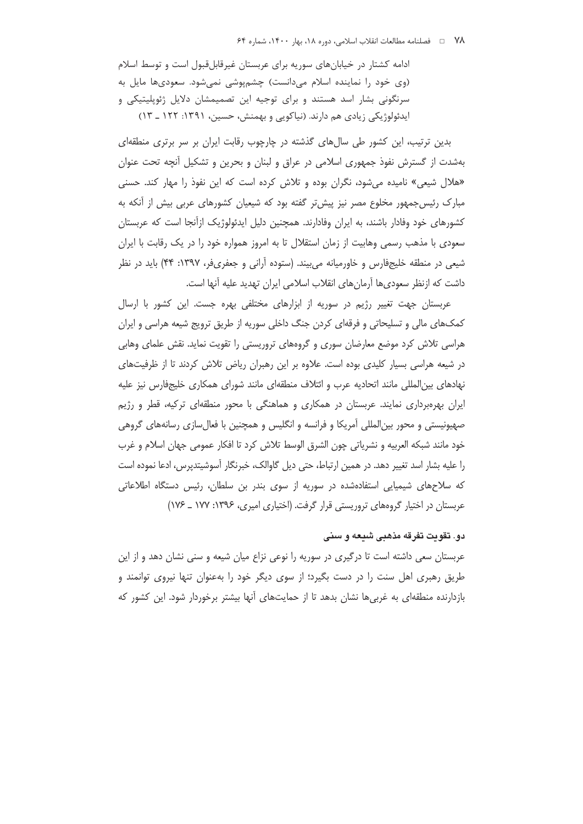ادامه کشتار در خیابانهای سوریه برای عربستان غیرقابلقبول است و توسط اسلام (وی خود را نماینده اسلام میدانست) چشمپوشی نمیشود. سعودیها مایل به سرنگونی بشار اسد هستند و برای توجیه این تصمیمشان دلایل ژئوپلیتیکی و ایدئولوژیکی زیادی هم دارند. (نیاکویی و بهمنش، حسین، ۱۳۹۱: ۱۲۲ ـ ۱۳)

بدین ترتیب، این کشور طی سالهای گذشته در چارچوب رقابت ایران بر سر برتری منطقهای بهشدت از گسترش نفوذ جمهوری اسلامی در عراق و لبنان و بحرین و تشکیل آنچه تحت عنوان «هلال شیعی» نامیده می شود، نگران بوده و تلاش کرده است که این نفوذ را مهار کند. حسنی مبارک رئیس جمهور مخلوع مصر نیز پیش تر گفته بود که شیعیان کشورهای عربی بیش از آنکه به کشورهای خود وفادار باشند، به ایران وفادارند. همچنین دلیل ایدئولوژیک ازآنجا است که عربستان سعودی با مذهب رسمی وهابیت از زمان استقلال تا به امروز همواره خود را در یک رقابت با ایران شیعی در منطقه خلیجفارس و خاورمیانه می بیند. (ستوده آرانی و جعفری فر، ۱۳۹۷: ۴۴) باید در نظر داشت که ازنظر سعودی ها آرمان های انقلاب اسلامی ایران تهدید علیه آنها است.

عربستان جهت تغییر رژیم در سوریه از ابزارهای مختلفی بهره جست. این کشور با ارسال كمكهاى مالى و تسليحاتى و فرقهاى كردن جنگ داخلى سوريه از طريق ترويج شيعه هراسى و ايران هراسی تلاش کرد موضع معارضان سوری و گروههای تروریستی را تقویت نماید. نقش علمای وهابی در شیعه هراسی بسیار کلیدی بوده است. علاوه بر این رهبران ریاض تلاش کردند تا از ظرفیتهای نهادهای بین|لمللی مانند اتحادیه عرب و ائتلاف منطقهای مانند شورای همکاری خلیجفارس نیز علیه ایران بهرهبرداری نمایند. عربستان در همکاری و هماهنگی با محور منطقهای ترکیه، قطر و رژیم صهیونیستی و محور بین|لمللی آمریکا و فرانسه و انگلیس و همچنین با فعال سازی رسانههای گروهی خود مانند شبكه العربيه و نشرياتي چون الشرق الوسط تلاش كرد تا افكار عمومي جهان اسلام و غرب را علیه بشار اسد تغییر دهد. در همین ارتباط، حتی دیل گاوالک، خبرنگار آسوشیتدیرس، ادعا نموده است که سلاحهای شیمیایی استفادهشده در سوریه از سوی بندر بن سلطان، رئیس دستگاه اطلاعاتی عربستان در اختیار گروههای تروریستی قرار گرفت. (اختیاری امیری، ۱۳۹۶: ۱۷۷ \_ ۱۷۶)

### دو. تقويت تفرقه مذهبي شيعه و سني

عربستان سعی داشته است تا درگیری در سوریه را نوعی نزاع میان شیعه و سنی نشان دهد و از این طریق رهبری اهل سنت را در دست بگیرد؛ از سوی دیگر خود را بهعنوان تنها نیروی توانمند و بازدارنده منطقهای به غربی ها نشان بدهد تا از حمایتهای آنها بیشتر برخوردار شود. این کشور که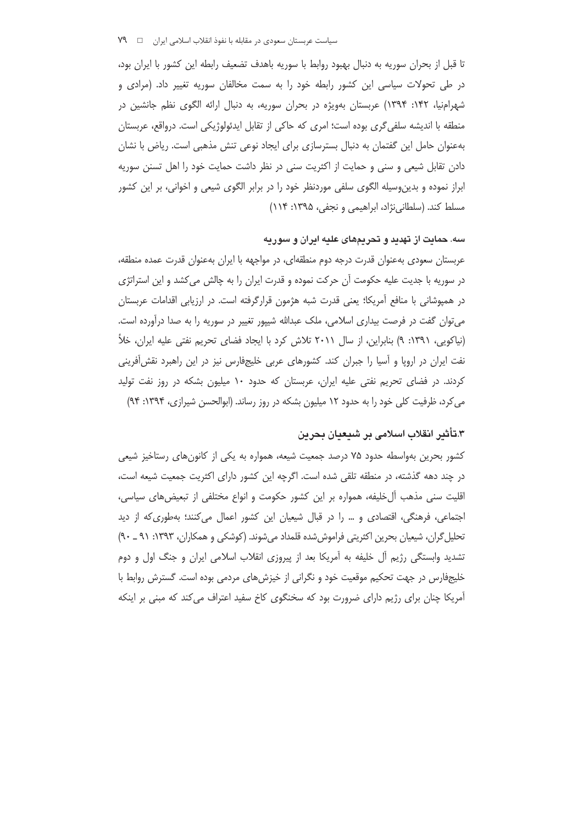تا قبل از بحران سوریه به دنبال بهبود روابط با سوریه باهدف تضعیف رابطه این کشور با ایران بود، در طی تحولات سیاسی این کشور رابطه خود را به سمت مخالفان سوریه تغییر داد. (مرادی و شهرامنیا، ۱۴۲: ۱۳۹۴) عربستان بهویژه در بحران سوریه، به دنبال ارائه الگوی نظم جانشین در منطقه با اندیشه سلفی گری بوده است؛ امری که حاکی از تقابل ایدئولوژیکی است. درواقع، عربستان بهعنوان حامل این گفتمان به دنبال بسترسازی برای ایجاد نوعی تنش مذهبی است. ریاض با نشان دادن تقابل شیعی و سنی و حمایت از اکثریت سنی در نظر داشت حمایت خود را اهل تسنن سوریه ابراز نموده و بدین وسیله الگوی سلفی موردنظر خود را در برابر الگوی شیعی و اخوانی، بر این کشور مسلط کند. (سلطانینژاد، ابراهیمی و نجفی، ۱۳۹۵: ۱۱۴)

## سه. حمایت از تهدید و تحریمهای علیه ایران و سوریه

عربستان سعودی بهعنوان قدرت درجه دوم منطقهای، در مواجهه با ایران بهعنوان قدرت عمده منطقه، در سوریه با جدیت علیه حکومت آن حرکت نموده و قدرت ایران را به چالش می کشد و این استراتژی در همپوشانی با منافع آمریکا؛ یعنی قدرت شبه هژمون قرارگرفته است. در ارزیابی اقدامات عربستان می توان گفت در فرصت بیداری اسلامی، ملک عبدالله شیپور تغییر در سوریه را به صدا درآورده است. (نیاکویی، ۱۳۹۱: ۹) بنابراین، از سال ۲۰۱۱ تلاش کرد با ایجاد فضای تحریم نفتی علیه ایران، خلأ نفت ایران در اروپا و آسیا را جبران کند. کشورهای عربی خلیجفارس نیز در این راهبرد نقش آفرینی کردند. در فضای تحریم نفتی علیه ایران، عربستان که حدود ۱۰ میلیون بشکه در روز نفت تولید می کرد، ظرفیت کلی خود را به حدود ١٢ میلیون بشکه در روز رساند. (ابوالحسن شیرازی، ١٣٩۴: ٩۴)

# ٣.تأثير انقلاب اسلامي بر شيعيان بحرين

کشور بحرین بهواسطه حدود ۷۵ درصد جمعیت شیعه، همواره به یکی از کانون های رستاخیز شیعی در چند دهه گذشته، در منطقه تلقی شده است. اگرچه این کشور دارای اکثریت جمعیت شیعه است، اقلیت سنی مذهب آلِ خلیفه، همواره بر این کشور حکومت و انواع مختلفی از تبعیضهای سیاسی، اجتماعی، فرهنگی، اقتصادی و … را در قبال شیعیان این کشور اعمال میکنند؛ بهطوری *ک*ه از دید تحلیل گران، شیعیان بحرین اکثریتی فراموش شده قلمداد میشوند. (کوشکی و همکاران، ۱۳۹۳: ۹۱ \_ ۹۰) تشدید وابستگی رژیم آل خلیفه به آمریکا بعد از پیروزی انقلاب اسلامی ایران و جنگ اول و دوم خلیجفارس در جهت تحکیم موقعیت خود و نگرانی از خیزشهای مردمی بوده است. گسترش روابط با آمریکا چنان برای رژیم دارای ضرورت بود که سخنگوی کاخ سفید اعتراف میکند که مبنی بر اینکه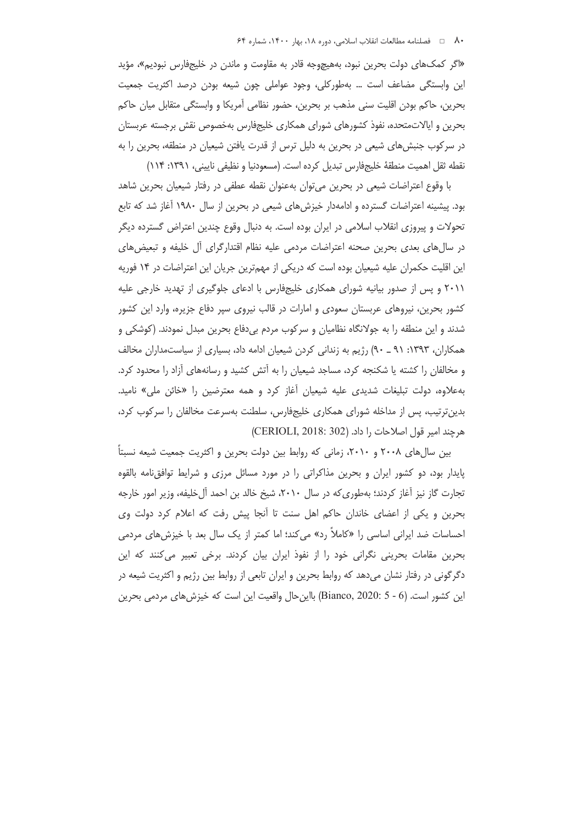«اگر کمکهای دولت بحرین نبود، بههیچوجه قادر به مقاومت و ماندن در خلیجفارس نبودیم»، مؤید این وابستگی مضاعف است … بهطورکلی، وجود عواملی چون شیعه بودن درصد اکثریت جمعیت بحرین، حاکم بودن اقلیت سنی مذهب بر بحرین، حضور نظامی آمریکا و وابستگی متقابل میان حاکم بحرين و ايالاتمتحده، نفوذ كشورهاى شوراى همكارى خليجفارس بهخصوص نقش برجسته عربستان در سرکوب جنبشهای شیعی در بحرین به دلیل ترس از قدرت یافتن شیعیان در منطقه، بحرین را به نقطه ثقل اهميت منطقة خليجفارس تبديل كرده است. (مسعودنيا و نظيفي ناييني، ١٣٩١: ١١۴)

با وقوع اعتراضات شیعی در بحرین میتوان بهعنوان نقطه عطفی در رفتار شیعیان بحرین شاهد بود. پیشینه اعتراضات گسترده و ادامهدار خیزشهای شیعی در بحرین از سال ۱۹۸۰ آغاز شد که تابع تحولات و پیروزی انقلاب اسلامی در ایران بوده است. به دنبال وقوع چندین اعتراض گسترده دیگر در سالهای بعدی بحرین صحنه اعتراضات مردمی علیه نظام اقتدارگرای آل خلیفه و تبعیضهای این اقلیت حکمران علیه شیعیان بوده است که دریکی از مهمترین جریان این اعتراضات در ۱۴ فوریه ۲۰۱۱ و پس از صدور بیانیه شورای همکاری خلیجفارس با ادعای جلوگیری از تهدید خارجی علیه کشور بحرین، نیروهای عربستان سعودی و امارات در قالب نیروی سپر دفاع جزیره، وارد این کشور شدند و این منطقه را به جولانگاه نظامیان و سرکوب مردم بی دفاع بحرین مبدل نمودند. (کوشکی و همکاران، ۱۳۹۳: ۹۱ ـ ۹۰) رژیم به زندانی کردن شیعیان ادامه داد، بسیاری از سیاستمداران مخالف و مخالفان را کشته یا شکنجه کرد، مساجد شیعیان را به آتش کشید و رسانههای آزاد را محدود کرد. بهعلاوه، دولت تبلیغات شدیدی علیه شیعیان أغاز کرد و همه معترضین را «خائن ملی» نامید. بدین ترتیب، پس از مداخله شورای همکاری خلیجفارس، سلطنت بهسرعت مخالفان را سرکوب کرد، هرچند امير قول اصلاحات را داد. (CERIOLI, 2018: 302)

بین سالهای ۲۰۰۸ و ۲۰۱۰، زمانی که روابط بین دولت بحرین و اکثریت جمعیت شیعه نسبتا پایدار بود، دو کشور ایران و بحرین مذاکراتی را در مورد مسائل مرزی و شرایط توافق نامه بالقوه تجارت گاز نیز آغاز کردند؛ بهطوری که در سال ۲۰۱۰، شیخ خالد بن احمد آل خلیفه، وزیر امور خارجه بحرین و یکی از اعضای خاندان حاکم اهل سنت تا اُنجا پیش رفت که اعلام کرد دولت وی احساسات ضد ایرانی اساسی را «کاملاً رد» می کند؛ اما کمتر از یک سال بعد با خیزش های مردمی بحرین مقامات بحرینی نگرانی خود را از نفوذ ایران بیان کردند. برخی تعبیر میکنند که این دگرگونی در رفتار نشان میدهد که روابط بحرین و ایران تابعی از روابط بین رژیم و اکثریت شیعه در این کشور است. (6 - 5 :Bianco, 2020) بااین حال واقعیت این است که خیزش های مردمی بحرین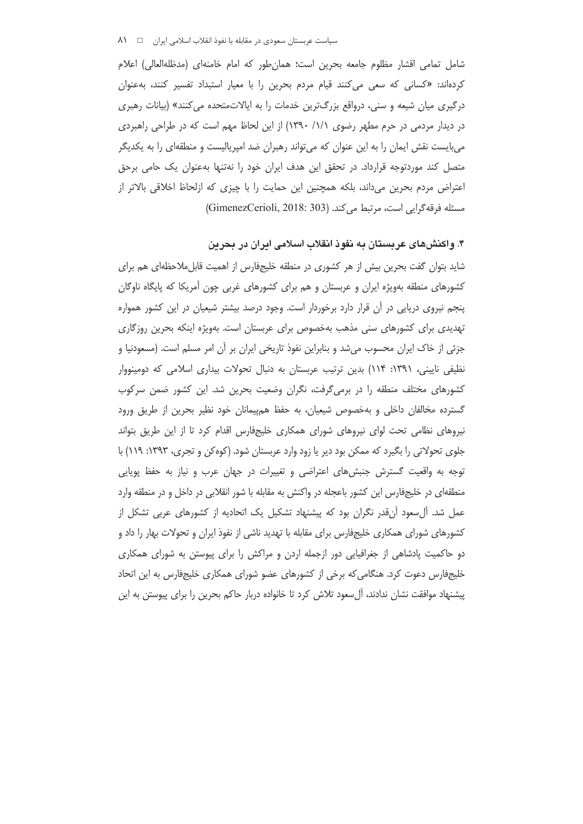شامل تمامی اقشار مظلوم جامعه بحرین است؛ همانطور که امام خامنهای (مدظلهالعالی) اعلام کردهاند: «کسانی که سعی میکنند قیام مردم بحرین را با معیار استبداد تفسیر کنند، بهعنوان درگیری میان شیعه و سنی، درواقع بزرگترین خدمات را به ایالاتمتحده می کنند» (بیانات رهبری در دیدار مردمی در حرم مطهر رضوی ۱/۱/ ۱۳۹۰) از این لحاظ مهم است که در طراحی راهبردی میبایست نقش ایمان را به این عنوان که میتواند رهبران ضد امپریالیست و منطقهای را به یکدیگر متصل کند موردتوجه قرارداد. در تحقق این هدف ایران خود را نهتنها بهعنوان یک حامی برحق اعتراض مردم بحرین میداند، بلکه همچنین این حمایت را با چیزی که ازلحاظ اخلاقی بالاتر از مسئله فرقه گرايي است، مرتبط مي كند. (GimenezCerioli, 2018: 303)

## ۴. واکنشهای عربستان به نفوذ انقلاب اسلامی ایران در بحرین

شاید بتوان گفت بحرین بیش از هر کشوری در منطقه خلیجفارس از اهمیت قابل0ملاحظهای هم برای کشورهای منطقه بهویژه ایران و عربستان و هم برای کشورهای غربی چون آمریکا که پایگاه ناوگان پنجم نیروی دریایی در آن قرار دارد برخوردار است. وجود درصد بیشتر شیعیان در این کشور همواره تهدیدی برای کشورهای سنی مذهب بهخصوص برای عربستان است. بهویژه اینکه بحرین روزگاری جزئی از خاک ایران محسوب می شد و بنابراین نفوذ تاریخی ایران بر آن امر مسلم است. (مسعودنیا و نظیفی ناپینی، ۱۳۹۱: ۱۱۴) بدین ترتیب عربستان به دنبال تحولات بیداری اسلامی که دومینووار کشورهای مختلف منطقه را در برمیگرفت، نگران وضعیت بحرین شد. این کشور ضمن سرکوب گسترده مخالفان داخلی و بهخصوص شیعیان، به حفظ همپیمانان خود نظیر بحرین از طریق ورود نیروهای نظامی تحت لوای نیروهای شورای همکاری خلیجفارس اقدام کرد تا از این طریق بتواند جلوی تحولاتی را بگیرد که ممکن بود دیر یا زود وارد عربستان شود. (کوهکن و تجری، ۱۳۹۳: ۱۱۹) با توجه به واقعیت گسترش جنبشهای اعتراضی و تغییرات در جهان عرب و نیاز به حفظ پویایی منطقهای در خلیجفارس این کشور باعجله در واکنش به مقابله با شور انقلابی در داخل و در منطقه وارد عمل شد. آلسعود آنقدر نگران بود که پیشنهاد تشکیل یک اتحادیه از کشورهای عربی تشکل از کشورهای شورای همکاری خلیجفارس برای مقابله با تهدید ناشی از نفوذ ایران و تحولات بهار را داد و دو حاکمیت پادشاهی از جغرافیایی دور ازجمله اردن و مراکش را برای پیوستن به شورای همکاری خلیجفارس دعوت کرد. هنگامی که برخی از کشورهای عضو شورای همکاری خلیجفارس به این اتحاد پیشنهاد موافقت نشان ندادند، آل سعود تلاش کرد تا خانواده دربار حاکم بحرین را برای پیوستن به این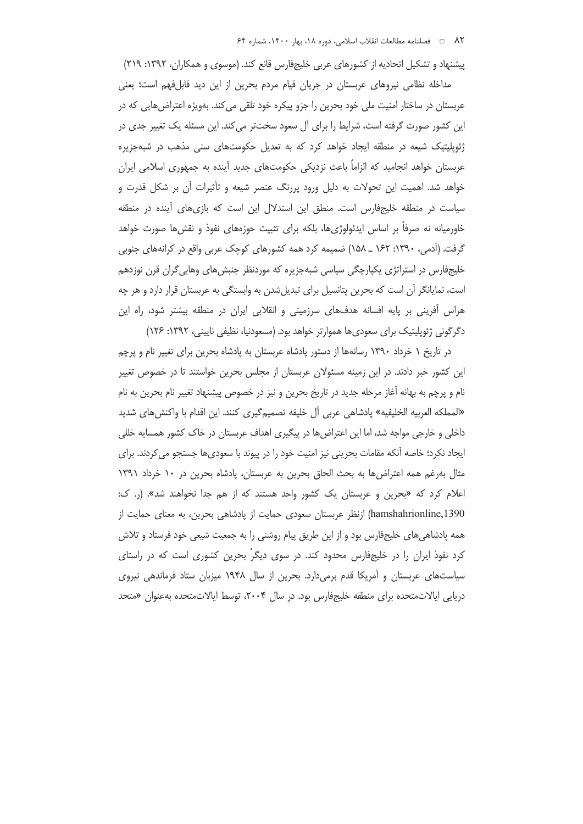پیشنهاد و تشکیل اتحادیه از کشورهای عربی خلیجفارس قانع کند. (موسوی و همکاران، ۱۳۹۲: ۲۱۹) مداخله نظامی نیروهای عربستان در جریان قیام مردم بحرین از این دید قابلفهم است؛ یعنی عربستان در ساختار امنیت ملی خود بحرین را جزو پیکره خود تلقی می کند. بهویژه اعتراض هایی که در این کشور صورت گرفته است، شرایط را برای آل سعود سختتر می کند. این مسئله یک تغییر جدی در ژئوپلیتیک شیعه در منطقه ایجاد خواهد کرد که به تعدیل حکومتهای سنی مذهب در شبهجزیره عربستان خواهد انجامید که الزاماً باعث نزدیکی حکومتهای جدید آینده به جمهوری اسلامی ایران خواهد شد. اهمیت این تحولات به دلیل ورود پررنگ عنصر شیعه و تأثیرات آن بر شکل قدرت و سیاست در منطقه خلیجفارس است. منطق این استدلال این است که بازی های آینده در منطقه خاورمیانه نه صرفا بر اساس ایدئولوژیها، بلکه برای تثبیت حوزههای نفوذ و نقشها صورت خواهد گرفت. (اَدمی، ۱۳۹۰: ۱۶۲ \_ ۱۵۸) ضمیمه کرد همه کشورهای کوچک عربی واقع در کرانههای جنوبی خلیجفارس در استراتژی پکپارچگی سیاسی شبهجزیره که موردنظر جنبش های وهابی گران قرن نوزدهم است، نمایانگر آن است که بحرین پتانسیل برای تبدیل شدن به وابستگی به عربستان قرار دارد و هر چه هراس آفرینی بر پایه افسانه هدفهای سرزمینی و انقلابی ایران در منطقه بیشتر شود، راه این دگر گونی ژئوپلیتیک برای سعودی ها هموارتر خواهد بود. (مسعودنیا، نظیفی نایینی، ۱۳۹۲: ۱۲۶)

در تاریخ ۱ خرداد ۱۳۹۰ رسانهها از دستور پادشاه عربستان به پادشاه بحرین برای تغییر نام و پرچم این کشور خبر دادند. در این زمینه مسئولان عربستان از مجلس بحرین خواستند تا در خصوص تغییر نام و پرچم به بهانه أغاز مرحله جدید در تاریخ بحرین و نیز در خصوص پیشنهاد تغییر نام بحرین به نام «المملكه العربيه الخليفيه» پادشاهي عربي أل خليفه تصميم5يري كنند. اين اقدام با واكنشهاي شديد داخلی و خارجی مواجه شد، اما این اعتراض ها در پیگیری اهداف عربستان در خاک کشور همسایه خللی ایجاد نکرد؛ خاصه آنکه مقامات بحرینی نیز امنیت خود را در پیوند با سعودیها جستجو می کردند. برای مثال بهرغم همه اعتراضها به بحث الحاق بحرين به عربستان، پادشاه بحرين در ١٠ خرداد ١٣٩١ اعلام کرد که «بحرین و عربستان یک کشور واحد هستند که از هم جدا نخواهند شد». (ر. ک: hamshahrionline,1390) ازنظر عربستان سعودی حمایت از پادشاهی بحرین، به معنای حمایت از همه پادشاهی های خلیجفارس بود و از این طریق پیام روشنی را به جمعیت شیعی خود فرستاد و تلاش کرد نفوذ ایران را در خلیجفارس محدود کند. در سوی دیگر بحرین کشوری است که در راستای سیاستهای عربستان و آمریکا قدم برمیدارد. بحرین از سال ۱۹۴۸ میزبان ستاد فرماندهی نیروی دریایی ایالاتمتحده برای منطقه خلیجفارس بود. در سال ۲۰۰۴، توسط ایالاتمتحده بهعنوان «متحد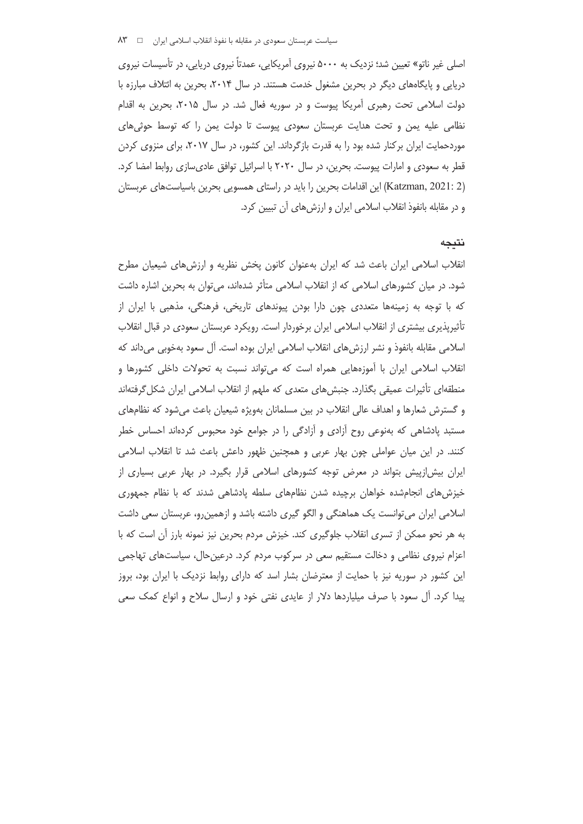اصلي غير ناتو» تعيين شد؛ نزديک به ۵۰۰۰ نيروي آمريکايي، عمدتاً نيروي دريايي، در تأسيسات نيروي دریایی و پایگاههای دیگر در بحرین مشغول خدمت هستند. در سال ۲۰۱۴، بحرین به ائتلاف مبارزه با دولت اسلامی تحت رهبری آمریکا پیوست و در سوریه فعال شد. در سال ۲۰۱۵، بحرین به اقدام نظامی علیه یمن و تحت هدایت عربستان سعودی پیوست تا دولت یمن را که توسط حوثی های موردحمایت ایران برکنار شده بود را به قدرت بازگرداند. این کشور، در سال ۲۰۱۷، برای منزوی کردن قطر به سعودی و امارات پیوست. بحرین، در سال ۲۰۲۰ با اسرائیل توافق عادیسازی روابط امضا کرد. (Katzman, 2021: 2) این اقدامات بحرین را باید در راستای همسویی بحرین باسیاستهای عربستان و در مقابله بانفوذ انقلاب اسلامی ایران و ارزشهای آن تبیین کرد.

#### نتيجه

انقلاب اسلامی ایران باعث شد که ایران بهعنوان کانون یخش نظریه و ارزش های شیعیان مطرح شود. در میان کشورهای اسلامی که از انقلاب اسلامی متأثر شدهاند، می توان به بحرین اشاره داشت که با توجه به زمینهها متعددی چون دارا بودن پیوندهای تاریخی، فرهنگی، مذهبی با ایران از تأثیریذیری بیشتری از انقلاب اسلامی ایران برخوردار است. رویکرد عربستان سعودی در قبال انقلاب اسلامی مقابله بانفوذ و نشر ارزش های انقلاب اسلامی ایران بوده است. آل سعود بهخوبی می داند که انقلاب اسلامی ایران با آموزههایی همراه است که می تواند نسبت به تحولات داخلی کشورها و منطقهای تأثیرات عمیقی بگذارد. جنبشهای متعدی که ملهم از انقلاب اسلامی ایران شکل گرفتهاند و گسترش شعارها و اهداف عالی انقلاب در بین مسلمانان بهویژه شیعیان باعث میشود که نظامهای مستبد پادشاهی که بهنوعی روح آزادی و آزادگی را در جوامع خود محبوس کردهاند احساس خطر کنند. در این میان عواملی چون بهار عربی و همچنین ظهور داعش باعث شد تا انقلاب اسلامی ایران بیش|زپیش بتواند در معرض توجه کشورهای اسلامی قرار بگیرد. در بهار عربی بسیاری از خیزش های انجامشده خواهان برچیده شدن نظامهای سلطه پادشاهی شدند که با نظام جمهوری اسلامی ایران میتوانست یک هماهنگی و الگو گیری داشته باشد و ازهمینرو، عربستان سعی داشت به هر نحو ممكن از تسرى انقلاب جلوگيرى كند. خيزش مردم بحرين نيز نمونه بارز آن است كه با اعزام نیروی نظامی و دخالت مستقیم سعی در سرکوب مردم کرد. درعینحال، سیاستهای تهاجمی این کشور در سوریه نیز با حمایت از معترضان بشار اسد که دارای روابط نزدیک با ایران بود، بروز پیدا کرد. آل سعود با صرف میلیاردها دلار از عایدی نفتی خود و ارسال سلاح و انواع کمک سعی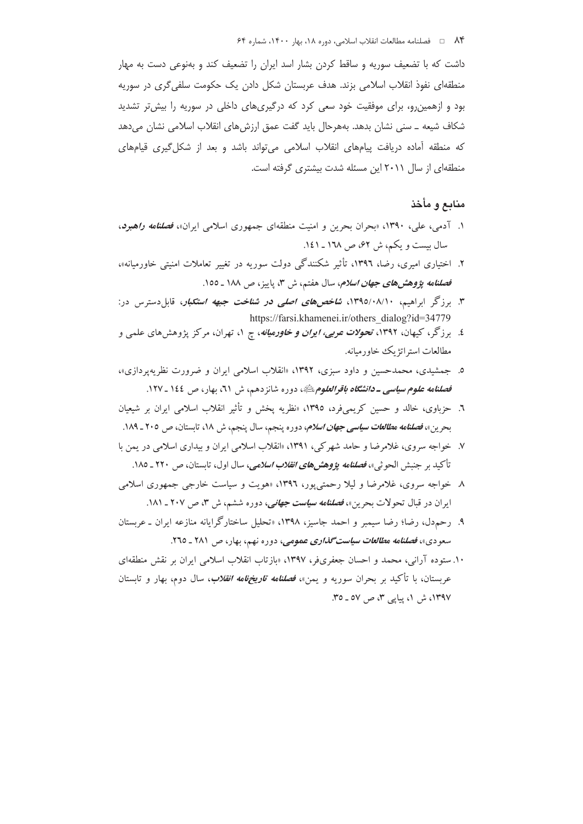داشت که با تضعیف سوریه و ساقط کردن بشار اسد ایران را تضعیف کند و بهنوعی دست به مهار منطقهای نفوذ انقلاب اسلامی بزند. هدف عربستان شکل دادن یک حکومت سلفی گری در سوریه بود و ازهمین و، برای موفقیت خود سعی کرد که درگیریهای داخلی در سوریه را بیش تر تشدید شکاف شیعه \_ سنی نشان بدهد. بههرحال باید گفت عمق ارزشهای انقلاب اسلامی نشان میدهد که منطقه آماده دریافت پیامهای انقلاب اسلامی می تواند باشد و بعد از شکل گیری قیامهای منطقهای از سال ۲۰۱۱ این مسئله شدت بیشتری گرفته است.

## منابع و مأخذ

- ۱. آدمی، علی، ۱۳۹۰، «بحران بحرین و امنیت منطقهای جمهوری اسلامی ایران»، *فصلنامه راهبرد*، سال بیست و یکم، ش ۶۲، ص ۱۲۸ ـ ۱٤۱.
- ۲. اختیاری امیری، رضا، ۱۳۹٦، تأثیر شکنندگی دولت سوریه در تغییر تعاملات امنیتی خاورمیانه»، فصلنامه پژوهشهای جهان *اسلام*، سال هفتم، ش ۳، پاییز، ص ۱۸۸ ـ ۱00.
- ۳. برزگر ابراهیم، ۱۳۹۵/۰۸/۱۰، *شاخصهای اصلی در شناخت جبهه استکبار*، قابلدسترس در: https://farsi.khamenei.ir/others dialog?id=34779
- ٤. برزگر، کیهان، ۱۳۹۲، تحو*لات عربی، ایران و خاورمیانه*، چ ۱، تهران، مرکز پژوهشهای علمی و مطالعات استراتژ یک خاور میانه.
- ۵. جمشیدی، محمدحسین و داود سبزی، ۱۳۹۲، «انقلاب اسلامی ایران و ضرورت نظریه پردازی»، ف*صلنامه علوم سیاسی ـ دانشگاه باقرالعلوم ب*یپ دوره شانزدهم، ش *۲۱*، بهار، ص ۱٤٤ ـ ۱۲۷.
- ٦. حزباوی، خالد و حسین کریمیفرد، ١٣٩٥، «نظریه پخش و تأثیر انقلاب اسلامی ایران بر شیعیان بحرين»، *فصلنامه مطالعات سياسي جهان اسلام*، دوره پنجم، سال پنجم، ش ١٨، تابستان، ص ٢٠٥ ـ ١٨٩.
- ۷. خواجه سروي، غلامرضا و حامد شهرکي، ۱۳۹۱، «انقلاب اسلامي ايران و بيداري اسلامي در يمن با تأكيد بر جنبش الحوثي»، *فصلنامه پژوهشهاي انقلاب اسلامي، س*ال اول، تابستان، ص ۲۲۰ ـ ۱۸۵.
- ۸ خواجه سروی، غلامرضا و لیلا رحمتی یور، ۱۳۹۲، «هویت و سیاست خارجی جمهوری اسلامی ایران در قبال تحولات بحرین»، *فصلنامه سیاست جهانی، دو*ره ششم، ش ۳، ص ۲۰۷ ـ ۱۸۱.
- ۹. رحمدل، رضا؛ رضا سیمبر و احمد جاسیز، ۱۳۹۸، «تحلیل ساختارگرایانه منازعه ایران ـ عربستان سعودی»، فص**لنامه م***طالعات سیاست گذاری عمومی***،** دوره نهم، بهار، ص ۲۸۱ ـ ۲۳۵.
- ۱۰. ستوده آرانی، محمد و احسان جعفریفر، ۱۳۹۷، «بازتاب انقلاب اسلامی ایران بر نقش منطقهای عربستان، با تأکید بر بحران سوریه و یمن»، *فصلنامه تاریخهامه انقلاب*، سال دوم، بهار و تابستان ۱۳۹۷، ش ۱، پیایی ۳، ص ۵۷ ـ ۳۵.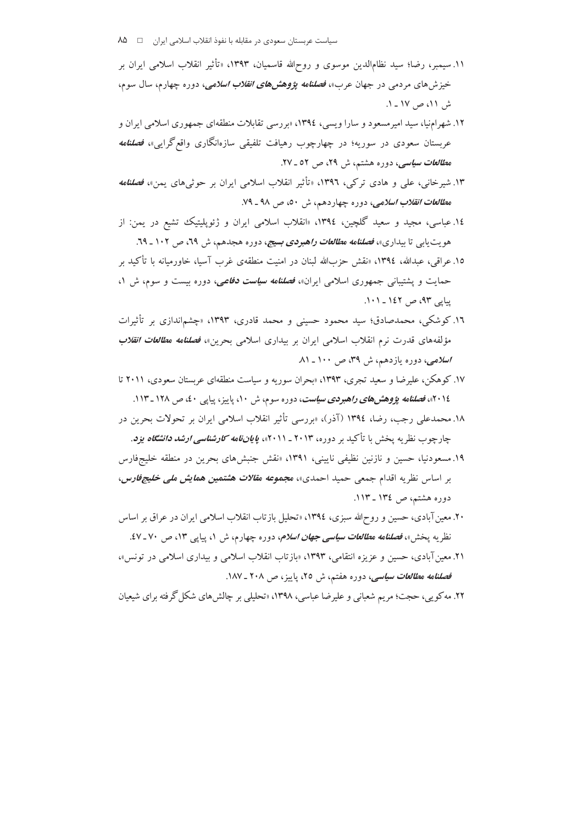- ۱۱.سیمبر، رضا؛ سید نظامالدین موسوی و روحالله قاسمیان، ۱۳۹۳، «تأثیر انقلاب اسلامی ایران بر خیزشهای مردمی در جهان عرب»، *فصلنامه پژوهشهای انقلاب اسلامی، دوره چهارم، سال سوم*، ش ١١، ص ١٧ - ١.
- ۱۲. شهر امنیا، سید امیر مسعود و سارا ویسی، ۱۳۹٤، «بر رسی تقابلات منطقهای جمهوری اسلامی ایران و عربستان سعودی در سوریه؛ در چهارچوب رهیافت تلفیقی سازەانگاری واقع گرای<sub>د</sub>»، *فصلنامه* م*طالعات سیاسی*، دوره هشتم، ش ۲۹، ص ۵۲ ـ ۲۷.
- ۱۳. شیرخانی، علی و هادی ترکی، ۱۳۹٦، «تأثیر انقلاب اسلامی ایران بر حوثیهای یمن»، *فصلنامه* م*طالعات انقلاب اسلامی، دوره چهاردهم*، ش ٥٠، ص ٩٨ ـ ٧٩.
- ۱٤.عباسی، مجید و سعید گلچین، ۱۳۹٤، «انقلاب اسلامی ایران و ژئوپلیتیک تشیع در یمن: از هویت یابی تا بیداری»، *فصلنامه مطالعات راهبردی بسیج*، دوره هجدهم، ش <mark>۲۹، ص ۱۰۲ ـ ۲۹.</mark>
- ١٥. عراقبي، عبدالله، ١٣٩٤، «نقش حزبالله لبنان در امنيت منطقهي غرب آسيا، خاورميانه با تأكيد بر حمایت و پشتیبانی جمهوری اسلامی ایران»، *فصلنامه سیاست دفاعی،* دوره بیست و سوم، ش ۱، یپایی ۹۳، ص ۱٤۲ ـ ۰۱۱.
- ۱۲. کوشکی، محمدصادق؛ سید محمود حسینی و محمد قادری، ۱۳۹۳، «چشماندازی بر تأثیرات مؤلفههای قدرت نرم انقلاب اسلامی ایران بر بیداری اسلامی بحرین»، *فصلنامه مطالعات انقلاب*  $\Lambda$ اسلامی، دوره بازدهم، ش ۳۹، ص ۱۰۰\_۸۱
- ۱۷. کوهکن، علیرضا و سعید تجری، ۱۳۹۳، «بحران سوریه و سیاست منطقهای عربستان سعودی، ۲۰۱۱ تا ۲۰۱٤»، *فصلنامه پژوهشهای راهبردی سیاست*، دوره سوم، ش ۱۰، پاییز، پیایی ٤٠، ص ۱۲۸ ـ ۱۱۳.
- ۱۸.محمدعلی رجب، رضا، ۱۳۹٤ (آذر)، «بررسی تأثیر انقلاب اسلامی ایران بر تحولات بحرین در چارچوب نظریه پخش با تأکید بر دوره، ۲۰۱۳ ـ ۲۰۱۱»، *پایاننامه کارشناسی ارشد دانشگاه یزد*.
- ۱۹. مسعودنیا، حسین و نازنین نظیفی نایینی، ۱۳۹۱، «نقش جنبش های بحرین در منطقه خلیجفارس بر اساس نظریه اقدام جمعی حمید احمدی»، مجمو*عه مقالات هشتمین همایش ملی خلیجفارس*، دوره هشتم، ص ١٣٤ ـ ١١٣.
- ۲۰. معین آبادی، حسین و روحالله سبزی، ۱۳۹٤، «تحلیل بازتاب انقلاب اسلامی ایران در عراق بر اساس نظریه پخش»، *فصلنامه مطالعات سیاسی جهان اسلام، دو*ره چهارم، ش ۱، پیاپی ۱۳، ص ۷۰-۶۷.
- ۲۱. معین آبادی، حسین و عزیزه انتقامی، ۱۳۹۳، «بازتاب انقلاب اسلامی و بیداری اسلامی در تونس»، فصلنامه م*طالعات سیاسی*، دوره هفتم، ش ۲۵، پاییز، ص ۲۰۸ ـ ۱۸۷.

۲۲. مه کویی، حجت؛ مریم شعبانی و علیرضا عباسی، ۱۳۹۸، «تحلیلی بر چالش های شکل گرفته برای شیعیان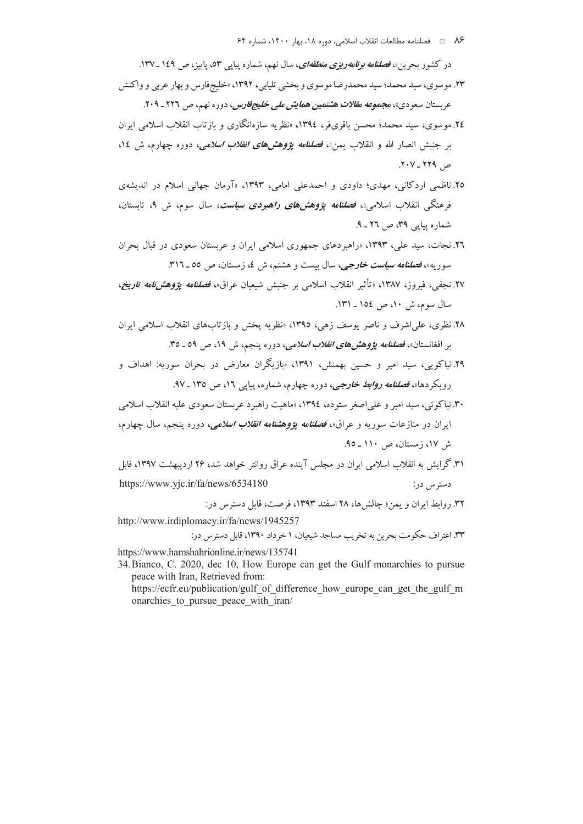۸۶ = فصلنامه مطالعات انقلاب اسلامی، دوره ۱۸، بهار ۱۴۰۰، شماره ۶۴

در کشور بحرین»، *فصلنامه برنامهریزی منطقهای*، سال نهم، شماره پیاپی ۵۳، پاییز، ص ۱٤۹ ـ ۱۳۷.

- ۲۳. موسوی، سید محمد؛ سید محمدرضا موسوی و بخشی تلیابی، ۱۳۹۲، «خلیجفارس و بهار عربی و واکنش عر بستان سعو دی»، م*جموعه مقالات هشتمین همایش ملی خلیجفارس*، دوره نهم، ص ۲۲۲ ـ ۲۰۹.
- ٢٤. موسوى، سيد محمد؛ محسن باقرىفر، ١٣٩٤، «نظريه سازەانگارى و بازتاب انقلاب اسلامى ايران بر جنبش انصار الله و انقلاب بمن»، فصلنامه يؤوهش ه*اي انقلاب اسلامي،* دوره چهارم، ش ١٤، ص ۲۲۹ - ۲۰۷.
- ۲۵. ناظمی اردکانی، مهدی؛ داودی و احمدعلی امامی، ۱۳۹۳، «آرمان جهانی اسلام در اندیشهی فرهنگی انقلاب اسلامی»، *فصلنامه یژوهشهای راهبردی سیاست*، سال سوم، ش ۹، تابستان، شماره پیاپی ۳۹، ص ۲٦ ـ ۹.
- ۲٦. نجات، سید علی، ۱۳۹۳، «راهبردهای جمهوری اسلامی ایران و عربستان سعودی در قبال بحران سوریه»، *فصلنامه سیاست خارجی،* سال بیست و هشتم، ش ٤، زمستان، ص ٥٥ ـ ٣١٦.
- ۲۷. نجفی، فیروز، ۱۳۸۷، «تأثیر انقلاب اسلامی بر جنبش شیعیان عراق»، *فصلنامه یؤوهشنامه تاریخ،* سال سوم، ش ١٠، ص ١٥٤ ـ ١٣١.
- ۲۸. نظری، علمیاشرف و ناصر یوسف زهی، ۱۳۹٥، «نظریه یخش و بازتابهای انقلاب اسلامی ایران بر افغانستان»، *فصلنامه پژوهشهای انقلاب اسلامی، دوره پنجم*، ش ۱۹، ص ۵۹ ـ ۳۵.
- ۲۹.نیاکویی، سید امیر و حسین بهمنش، ۱۳۹۱، «بازیگران معارض در بحران سوریه: اهداف و رویکر دها»، *فصلنامه <mark>روابط خارجی</mark>، د*وره چهارم، شماره، پیاپی ۱۲، ص ۱۳۵ ـ ۹۷.
- ۳۰. نیاکوئی، سید امیر و علی اصغر ستوده، ۱۳۹٤، «ماهیت راهبرد عربستان سعودی علیه انقلاب اسلامی ايران در منازعات سوريه و عراق»، فص*لنامه يؤوهشنامه انقلاب اسلامي، دو*ره ينجم، سال چهارم، ش ١٧، زمستان، ص ١١٠ ـ ٩٥.
- ۳۱. گرایش به انقلاب اسلامی ایران در مجلس آینده عراق روانتر خواهد شد، ۲۶ اردیبهشت ۱۳۹۷، قابل https://www.yjc.ir/fa/news/6534180 دسترس در:

٣٢. روابط ايران و يمن؛ چالش ها، ٢٨ اسفند ١٣٩٣، فرصت، قابل دسترس در:

http://www.irdiplomacy.ir/fa/news/1945257

۳۳. اعتراف حکومت بحرین به تخریب مساجد شیعیان، ۱ خرداد ۱۳۹۰، قابل دسترس در:

https://www.hamshahrionline.ir/news/135741

34. Bianco, C. 2020, dec 10, How Europe can get the Gulf monarchies to pursue peace with Iran, Retrieved from:

https://ecfr.eu/publication/gulf of difference how europe can get the gulf m onarchies to pursue peace with iran/